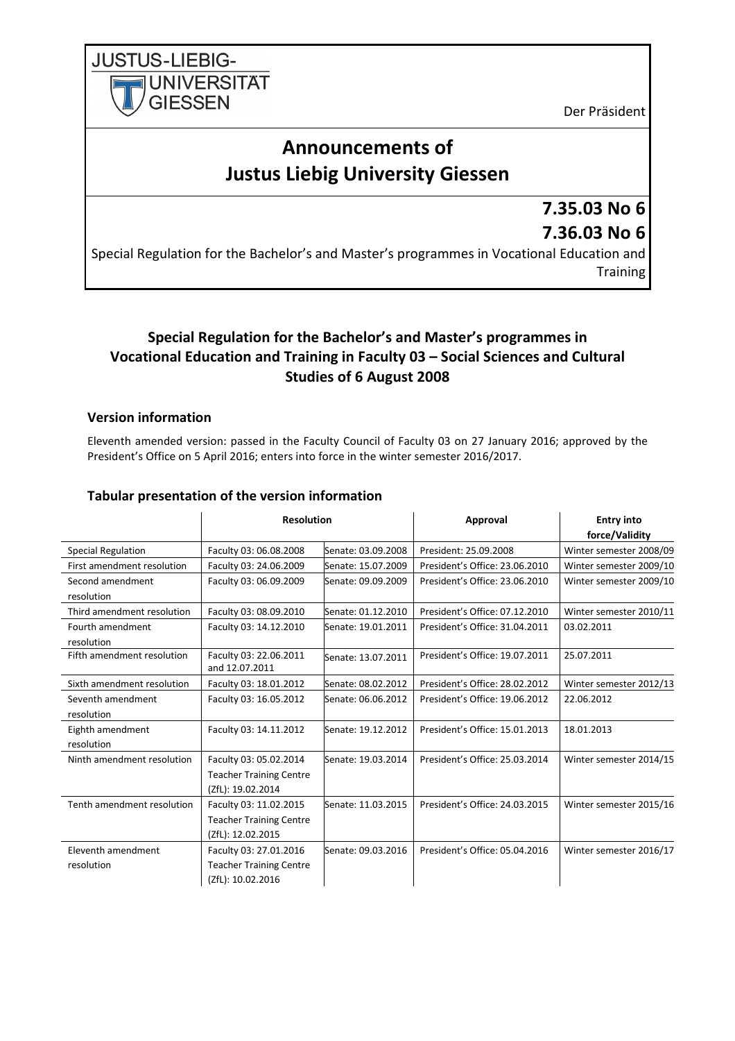Der Präsident

# **Announcements of Justus Liebig University Giessen**

## **7.35.03 No 6 7.36.03 No 6**

Special Regulation for the Bachelor's and Master's programmes in Vocational Education and **Training** 

### **Special Regulation for the Bachelor's and Master's programmes in Vocational Education and Training in Faculty 03 – Social Sciences and Cultural Studies of 6 August 2008**

#### **Version information**

**JUSTUS-LIEBIG-**

**UNIVERSITAT** 

**GIESSEN** 

Eleventh amended version: passed in the Faculty Council of Faculty 03 on 27 January 2016; approved by the President's Office on 5 April 2016; enters into force in the winter semester 2016/2017.

#### **Tabular presentation of the version information**

|                                  |                                                                               | <b>Resolution</b><br>Approval |                                | <b>Entry into</b><br>force/Validity |  |
|----------------------------------|-------------------------------------------------------------------------------|-------------------------------|--------------------------------|-------------------------------------|--|
| <b>Special Regulation</b>        | Faculty 03: 06.08.2008                                                        | Senate: 03.09.2008            | President: 25.09.2008          | Winter semester 2008/09             |  |
| First amendment resolution       | Faculty 03: 24.06.2009                                                        | Senate: 15.07.2009            | President's Office: 23.06.2010 | Winter semester 2009/10             |  |
| Second amendment<br>resolution   | Faculty 03: 06.09.2009                                                        | Senate: 09.09.2009            | President's Office: 23.06.2010 | Winter semester 2009/10             |  |
| Third amendment resolution       | Faculty 03: 08.09.2010                                                        | Senate: 01.12.2010            | President's Office: 07.12.2010 | Winter semester 2010/11             |  |
| Fourth amendment<br>resolution   | Faculty 03: 14.12.2010                                                        | Senate: 19.01.2011            | President's Office: 31.04.2011 | 03.02.2011                          |  |
| Fifth amendment resolution       | Faculty 03: 22.06.2011<br>and 12.07.2011                                      | Senate: 13.07.2011            | President's Office: 19.07.2011 | 25.07.2011                          |  |
| Sixth amendment resolution       | Faculty 03: 18.01.2012                                                        | Senate: 08.02.2012            | President's Office: 28.02.2012 | Winter semester 2012/13             |  |
| Seventh amendment<br>resolution  | Faculty 03: 16.05.2012                                                        | Senate: 06.06.2012            | President's Office: 19.06.2012 | 22.06.2012                          |  |
| Eighth amendment<br>resolution   | Faculty 03: 14.11.2012                                                        | Senate: 19.12.2012            | President's Office: 15.01.2013 | 18.01.2013                          |  |
| Ninth amendment resolution       | Faculty 03: 05.02.2014<br><b>Teacher Training Centre</b><br>(ZfL): 19.02.2014 | Senate: 19.03.2014            | President's Office: 25.03.2014 | Winter semester 2014/15             |  |
| Tenth amendment resolution       | Faculty 03: 11.02.2015<br><b>Teacher Training Centre</b><br>(ZfL): 12.02.2015 | Senate: 11.03.2015            | President's Office: 24.03.2015 | Winter semester 2015/16             |  |
| Eleventh amendment<br>resolution | Faculty 03: 27.01.2016<br><b>Teacher Training Centre</b><br>(ZfL): 10.02.2016 | Senate: 09.03.2016            | President's Office: 05.04.2016 | Winter semester 2016/17             |  |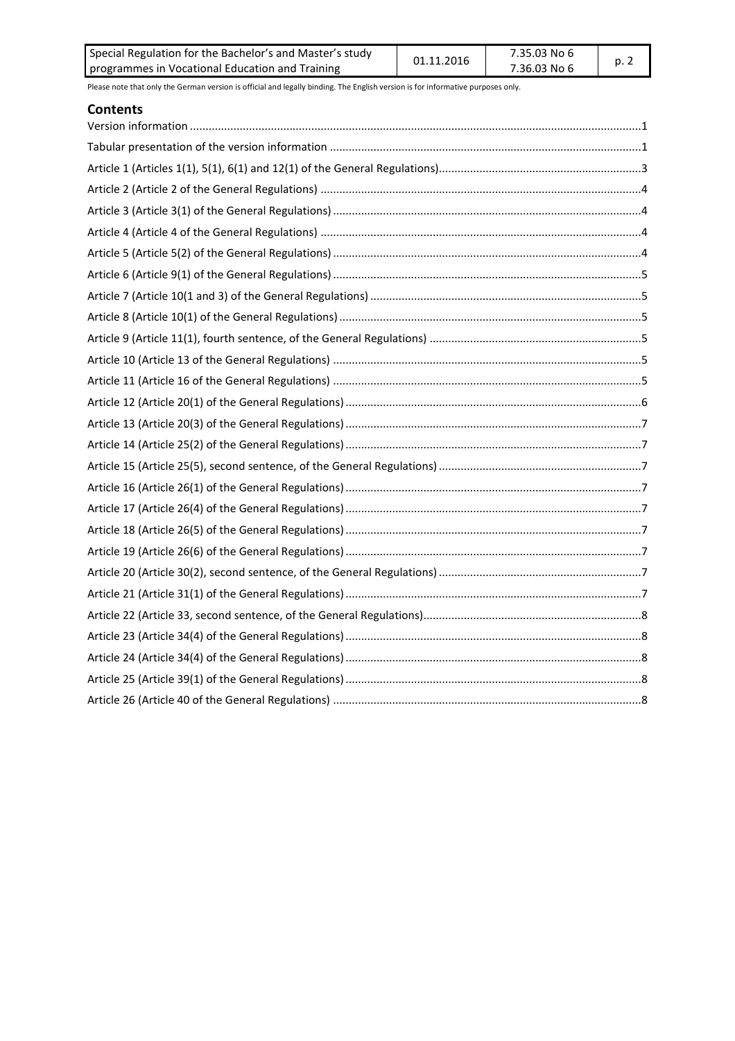| Special Regulation for the Bachelor's and Master's study | 01.11.2016 | 7.35.03 No 6 | p. 2 |
|----------------------------------------------------------|------------|--------------|------|
| programmes in Vocational Education and Training          |            | 7.36.03 No 6 |      |

#### **Contents**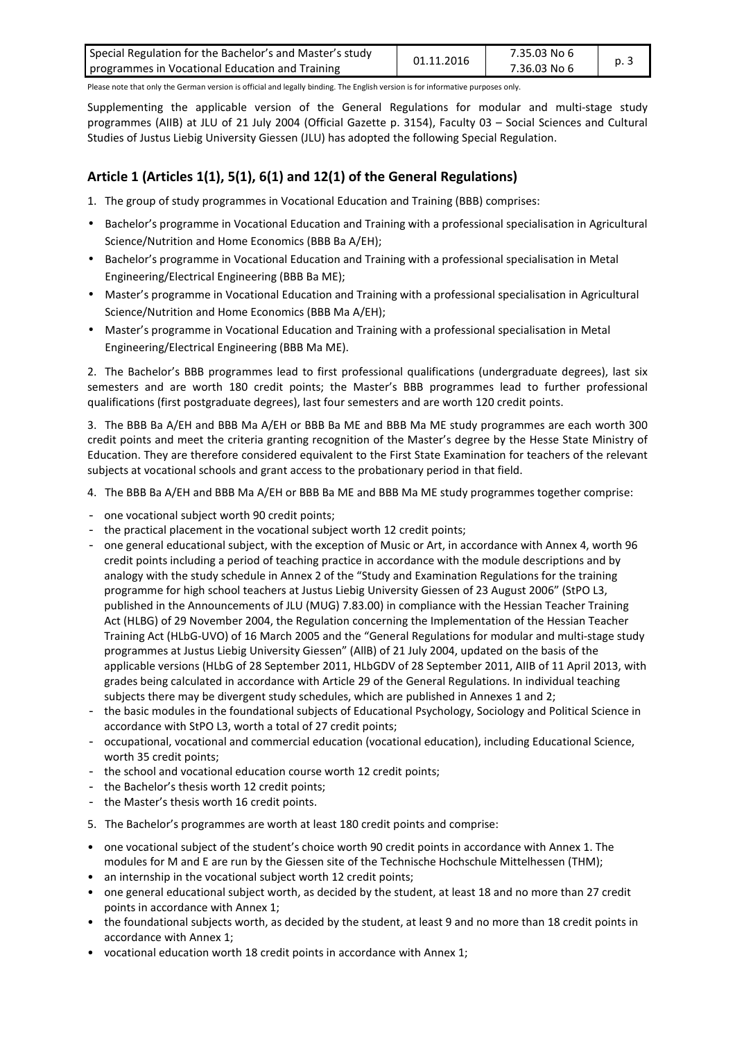| Special Regulation for the Bachelor's and Master's study | 01.11.2016 | 7.35.03 No 6 | p. 3 |
|----------------------------------------------------------|------------|--------------|------|
| programmes in Vocational Education and Training          |            | 7.36.03 No 6 |      |

Supplementing the applicable version of the General Regulations for modular and multi-stage study programmes (AIIB) at JLU of 21 July 2004 (Official Gazette p. 3154), Faculty 03 – Social Sciences and Cultural Studies of Justus Liebig University Giessen (JLU) has adopted the following Special Regulation.

### **Article 1 (Articles 1(1), 5(1), 6(1) and 12(1) of the General Regulations)**

- 1. The group of study programmes in Vocational Education and Training (BBB) comprises:
- Bachelor's programme in Vocational Education and Training with a professional specialisation in Agricultural Science/Nutrition and Home Economics (BBB Ba A/EH);
- Bachelor's programme in Vocational Education and Training with a professional specialisation in Metal Engineering/Electrical Engineering (BBB Ba ME);
- Master's programme in Vocational Education and Training with a professional specialisation in Agricultural Science/Nutrition and Home Economics (BBB Ma A/EH);
- Master's programme in Vocational Education and Training with a professional specialisation in Metal Engineering/Electrical Engineering (BBB Ma ME).

2. The Bachelor's BBB programmes lead to first professional qualifications (undergraduate degrees), last six semesters and are worth 180 credit points; the Master's BBB programmes lead to further professional qualifications (first postgraduate degrees), last four semesters and are worth 120 credit points.

3. The BBB Ba A/EH and BBB Ma A/EH or BBB Ba ME and BBB Ma ME study programmes are each worth 300 credit points and meet the criteria granting recognition of the Master's degree by the Hesse State Ministry of Education. They are therefore considered equivalent to the First State Examination for teachers of the relevant subjects at vocational schools and grant access to the probationary period in that field.

- 4. The BBB Ba A/EH and BBB Ma A/EH or BBB Ba ME and BBB Ma ME study programmes together comprise:
- one vocational subject worth 90 credit points;
- the practical placement in the vocational subject worth 12 credit points;
- one general educational subject, with the exception of Music or Art, in accordance with Annex 4, worth 96 credit points including a period of teaching practice in accordance with the module descriptions and by analogy with the study schedule in Annex 2 of the "Study and Examination Regulations for the training programme for high school teachers at Justus Liebig University Giessen of 23 August 2006" (StPO L3, published in the Announcements of JLU (MUG) 7.83.00) in compliance with the Hessian Teacher Training Act (HLBG) of 29 November 2004, the Regulation concerning the Implementation of the Hessian Teacher Training Act (HLbG-UVO) of 16 March 2005 and the "General Regulations for modular and multi-stage study programmes at Justus Liebig University Giessen" (AllB) of 21 July 2004, updated on the basis of the applicable versions (HLbG of 28 September 2011, HLbGDV of 28 September 2011, AIIB of 11 April 2013, with grades being calculated in accordance with Article 29 of the General Regulations. In individual teaching subjects there may be divergent study schedules, which are published in Annexes 1 and 2;
- the basic modules in the foundational subjects of Educational Psychology, Sociology and Political Science in accordance with StPO L3, worth a total of 27 credit points;
- occupational, vocational and commercial education (vocational education), including Educational Science, worth 35 credit points;
- the school and vocational education course worth 12 credit points;
- the Bachelor's thesis worth 12 credit points;
- the Master's thesis worth 16 credit points.
- 5. The Bachelor's programmes are worth at least 180 credit points and comprise:
- one vocational subject of the student's choice worth 90 credit points in accordance with Annex 1. The modules for M and E are run by the Giessen site of the Technische Hochschule Mittelhessen (THM);
- an internship in the vocational subject worth 12 credit points;
- one general educational subject worth, as decided by the student, at least 18 and no more than 27 credit points in accordance with Annex 1;
- the foundational subjects worth, as decided by the student, at least 9 and no more than 18 credit points in accordance with Annex 1;
- vocational education worth 18 credit points in accordance with Annex 1;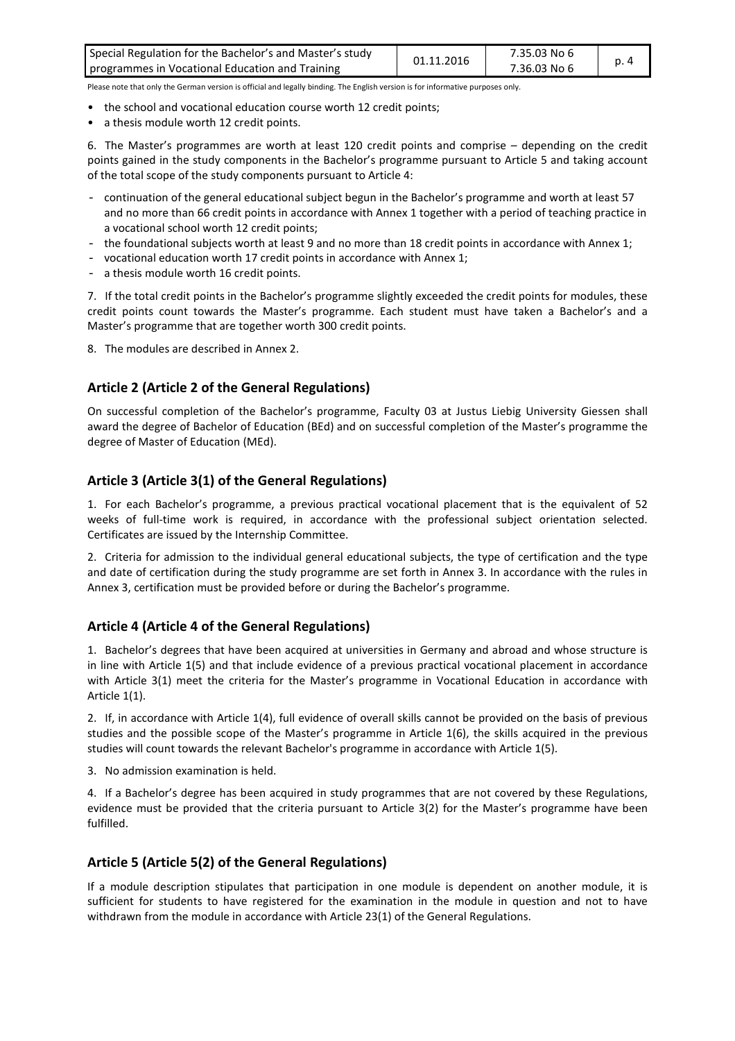| Special Regulation for the Bachelor's and Master's study | 01.11.2016 | 7.35.03 No 6 |  |
|----------------------------------------------------------|------------|--------------|--|
| programmes in Vocational Education and Training          |            | 7.36.03 No 6 |  |

- the school and vocational education course worth 12 credit points;
- a thesis module worth 12 credit points.

6. The Master's programmes are worth at least 120 credit points and comprise – depending on the credit points gained in the study components in the Bachelor's programme pursuant to Article 5 and taking account of the total scope of the study components pursuant to Article 4:

- continuation of the general educational subject begun in the Bachelor's programme and worth at least 57 and no more than 66 credit points in accordance with Annex 1 together with a period of teaching practice in a vocational school worth 12 credit points;
- the foundational subjects worth at least 9 and no more than 18 credit points in accordance with Annex 1;
- vocational education worth 17 credit points in accordance with Annex 1;
- a thesis module worth 16 credit points.

7. If the total credit points in the Bachelor's programme slightly exceeded the credit points for modules, these credit points count towards the Master's programme. Each student must have taken a Bachelor's and a Master's programme that are together worth 300 credit points.

8. The modules are described in Annex 2.

#### **Article 2 (Article 2 of the General Regulations)**

On successful completion of the Bachelor's programme, Faculty 03 at Justus Liebig University Giessen shall award the degree of Bachelor of Education (BEd) and on successful completion of the Master's programme the degree of Master of Education (MEd).

#### **Article 3 (Article 3(1) of the General Regulations)**

1. For each Bachelor's programme, a previous practical vocational placement that is the equivalent of 52 weeks of full-time work is required, in accordance with the professional subject orientation selected. Certificates are issued by the Internship Committee.

2. Criteria for admission to the individual general educational subjects, the type of certification and the type and date of certification during the study programme are set forth in Annex 3. In accordance with the rules in Annex 3, certification must be provided before or during the Bachelor's programme.

#### **Article 4 (Article 4 of the General Regulations)**

1. Bachelor's degrees that have been acquired at universities in Germany and abroad and whose structure is in line with Article 1(5) and that include evidence of a previous practical vocational placement in accordance with Article 3(1) meet the criteria for the Master's programme in Vocational Education in accordance with Article 1(1).

2. If, in accordance with Article 1(4), full evidence of overall skills cannot be provided on the basis of previous studies and the possible scope of the Master's programme in Article 1(6), the skills acquired in the previous studies will count towards the relevant Bachelor's programme in accordance with Article 1(5).

3. No admission examination is held.

4. If a Bachelor's degree has been acquired in study programmes that are not covered by these Regulations, evidence must be provided that the criteria pursuant to Article 3(2) for the Master's programme have been fulfilled.

#### **Article 5 (Article 5(2) of the General Regulations)**

If a module description stipulates that participation in one module is dependent on another module, it is sufficient for students to have registered for the examination in the module in question and not to have withdrawn from the module in accordance with Article 23(1) of the General Regulations.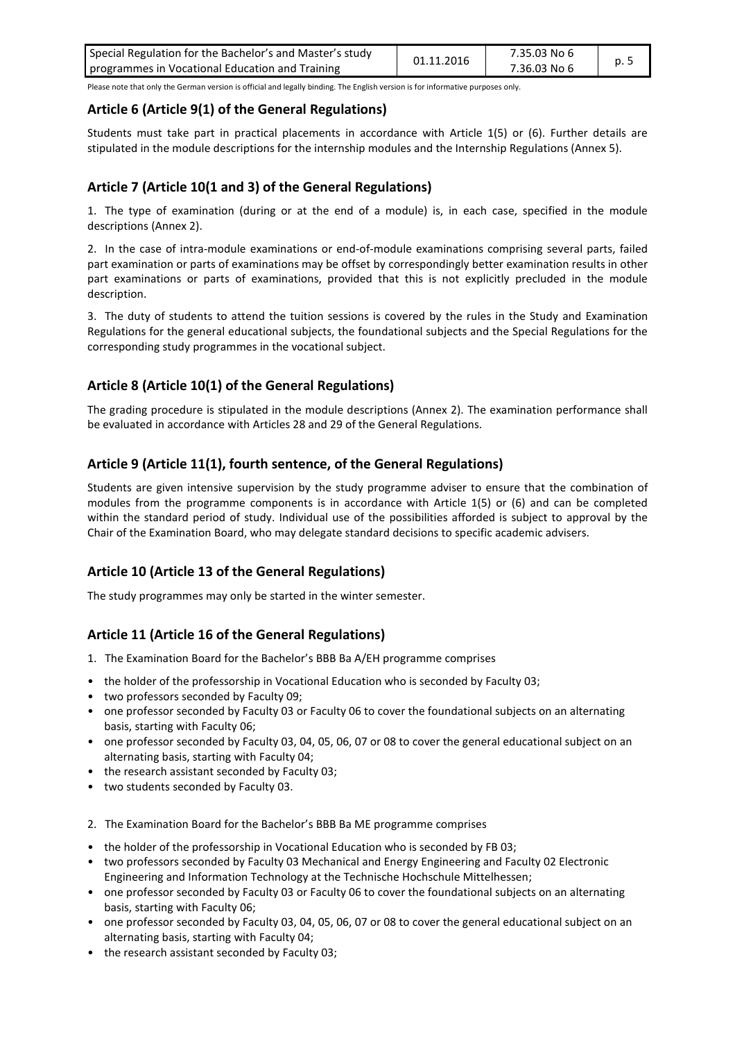| Special Regulation for the Bachelor's and Master's study | 01.11.2016 | 7.35.03 No 6 | p. 5 |
|----------------------------------------------------------|------------|--------------|------|
| programmes in Vocational Education and Training          |            | 7.36.03 No 6 |      |

#### **Article 6 (Article 9(1) of the General Regulations)**

Students must take part in practical placements in accordance with Article 1(5) or (6). Further details are stipulated in the module descriptions for the internship modules and the Internship Regulations (Annex 5).

#### **Article 7 (Article 10(1 and 3) of the General Regulations)**

1. The type of examination (during or at the end of a module) is, in each case, specified in the module descriptions (Annex 2).

2. In the case of intra-module examinations or end-of-module examinations comprising several parts, failed part examination or parts of examinations may be offset by correspondingly better examination results in other part examinations or parts of examinations, provided that this is not explicitly precluded in the module description.

3. The duty of students to attend the tuition sessions is covered by the rules in the Study and Examination Regulations for the general educational subjects, the foundational subjects and the Special Regulations for the corresponding study programmes in the vocational subject.

#### **Article 8 (Article 10(1) of the General Regulations)**

The grading procedure is stipulated in the module descriptions (Annex 2). The examination performance shall be evaluated in accordance with Articles 28 and 29 of the General Regulations.

#### **Article 9 (Article 11(1), fourth sentence, of the General Regulations)**

Students are given intensive supervision by the study programme adviser to ensure that the combination of modules from the programme components is in accordance with Article 1(5) or (6) and can be completed within the standard period of study. Individual use of the possibilities afforded is subject to approval by the Chair of the Examination Board, who may delegate standard decisions to specific academic advisers.

#### **Article 10 (Article 13 of the General Regulations)**

The study programmes may only be started in the winter semester.

#### **Article 11 (Article 16 of the General Regulations)**

- 1. The Examination Board for the Bachelor's BBB Ba A/EH programme comprises
- the holder of the professorship in Vocational Education who is seconded by Faculty 03;
- two professors seconded by Faculty 09;
- one professor seconded by Faculty 03 or Faculty 06 to cover the foundational subjects on an alternating basis, starting with Faculty 06;
- one professor seconded by Faculty 03, 04, 05, 06, 07 or 08 to cover the general educational subject on an alternating basis, starting with Faculty 04;
- the research assistant seconded by Faculty 03;
- two students seconded by Faculty 03.
- 2. The Examination Board for the Bachelor's BBB Ba ME programme comprises
- the holder of the professorship in Vocational Education who is seconded by FB 03;
- two professors seconded by Faculty 03 Mechanical and Energy Engineering and Faculty 02 Electronic Engineering and Information Technology at the Technische Hochschule Mittelhessen;
- one professor seconded by Faculty 03 or Faculty 06 to cover the foundational subjects on an alternating basis, starting with Faculty 06;
- one professor seconded by Faculty 03, 04, 05, 06, 07 or 08 to cover the general educational subject on an alternating basis, starting with Faculty 04;
- the research assistant seconded by Faculty 03;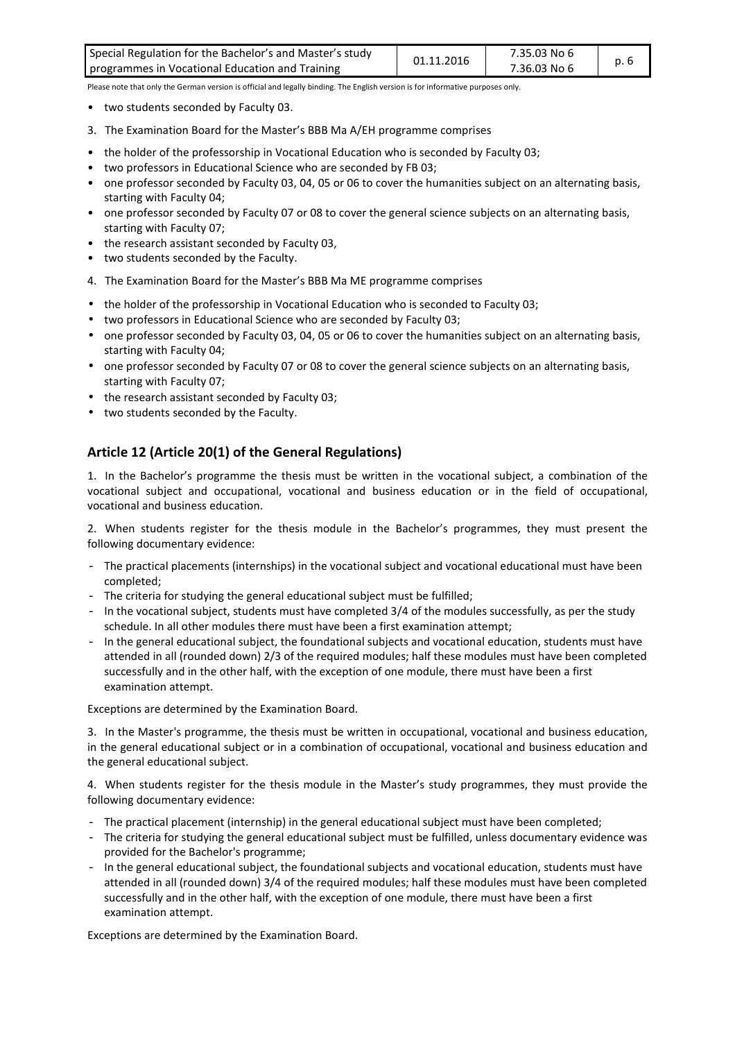| Special Regulation for the Bachelor's and Master's study | 01.11.2016 | 7.35.03 No 6 |      |
|----------------------------------------------------------|------------|--------------|------|
| programmes in Vocational Education and Training          |            | 7.36.03 No 6 | p. 6 |

- two students seconded by Faculty 03.
- 3. The Examination Board for the Master's BBB Ma A/EH programme comprises
- the holder of the professorship in Vocational Education who is seconded by Faculty 03;
- two professors in Educational Science who are seconded by FB 03;
- one professor seconded by Faculty 03, 04, 05 or 06 to cover the humanities subject on an alternating basis, starting with Faculty 04;
- one professor seconded by Faculty 07 or 08 to cover the general science subjects on an alternating basis, starting with Faculty 07;
- the research assistant seconded by Faculty 03,
- two students seconded by the Faculty.
- 4. The Examination Board for the Master's BBB Ma ME programme comprises
- the holder of the professorship in Vocational Education who is seconded to Faculty 03;
- two professors in Educational Science who are seconded by Faculty 03;
- one professor seconded by Faculty 03, 04, 05 or 06 to cover the humanities subject on an alternating basis, starting with Faculty 04;
- one professor seconded by Faculty 07 or 08 to cover the general science subjects on an alternating basis, starting with Faculty 07;
- the research assistant seconded by Faculty 03;
- two students seconded by the Faculty.

#### **Article 12 (Article 20(1) of the General Regulations)**

1. In the Bachelor's programme the thesis must be written in the vocational subject, a combination of the vocational subject and occupational, vocational and business education or in the field of occupational, vocational and business education.

2. When students register for the thesis module in the Bachelor's programmes, they must present the following documentary evidence:

- The practical placements (internships) in the vocational subject and vocational educational must have been completed;
- The criteria for studying the general educational subject must be fulfilled;
- In the vocational subject, students must have completed 3/4 of the modules successfully, as per the study schedule. In all other modules there must have been a first examination attempt;
- In the general educational subject, the foundational subjects and vocational education, students must have attended in all (rounded down) 2/3 of the required modules; half these modules must have been completed successfully and in the other half, with the exception of one module, there must have been a first examination attempt.

Exceptions are determined by the Examination Board.

3. In the Master's programme, the thesis must be written in occupational, vocational and business education, in the general educational subject or in a combination of occupational, vocational and business education and the general educational subject.

4. When students register for the thesis module in the Master's study programmes, they must provide the following documentary evidence:

- The practical placement (internship) in the general educational subject must have been completed;
- The criteria for studying the general educational subject must be fulfilled, unless documentary evidence was provided for the Bachelor's programme;
- In the general educational subject, the foundational subjects and vocational education, students must have attended in all (rounded down) 3/4 of the required modules; half these modules must have been completed successfully and in the other half, with the exception of one module, there must have been a first examination attempt.

Exceptions are determined by the Examination Board.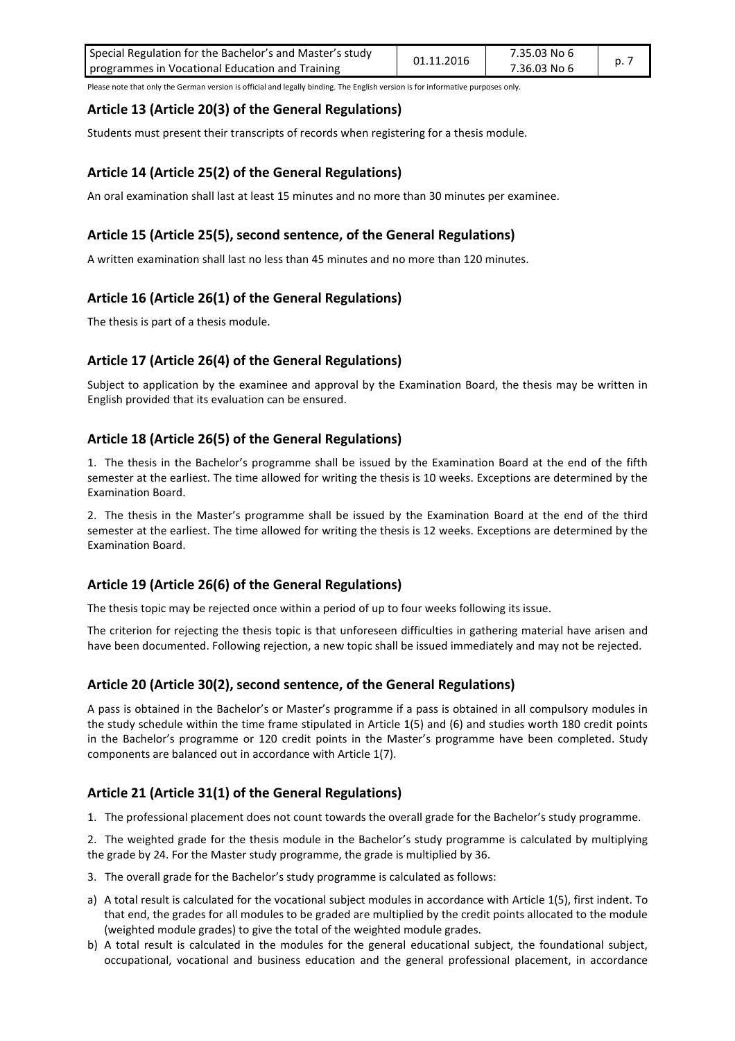| Special Regulation for the Bachelor's and Master's study | 01.11.2016 | 7.35.03 No 6 |  |
|----------------------------------------------------------|------------|--------------|--|
| programmes in Vocational Education and Training          |            | 7.36.03 No 6 |  |

#### **Article 13 (Article 20(3) of the General Regulations)**

Students must present their transcripts of records when registering for a thesis module.

#### **Article 14 (Article 25(2) of the General Regulations)**

An oral examination shall last at least 15 minutes and no more than 30 minutes per examinee.

#### **Article 15 (Article 25(5), second sentence, of the General Regulations)**

A written examination shall last no less than 45 minutes and no more than 120 minutes.

#### **Article 16 (Article 26(1) of the General Regulations)**

The thesis is part of a thesis module.

#### **Article 17 (Article 26(4) of the General Regulations)**

Subject to application by the examinee and approval by the Examination Board, the thesis may be written in English provided that its evaluation can be ensured.

#### **Article 18 (Article 26(5) of the General Regulations)**

1. The thesis in the Bachelor's programme shall be issued by the Examination Board at the end of the fifth semester at the earliest. The time allowed for writing the thesis is 10 weeks. Exceptions are determined by the Examination Board.

2. The thesis in the Master's programme shall be issued by the Examination Board at the end of the third semester at the earliest. The time allowed for writing the thesis is 12 weeks. Exceptions are determined by the Examination Board.

#### **Article 19 (Article 26(6) of the General Regulations)**

The thesis topic may be rejected once within a period of up to four weeks following its issue.

The criterion for rejecting the thesis topic is that unforeseen difficulties in gathering material have arisen and have been documented. Following rejection, a new topic shall be issued immediately and may not be rejected.

#### **Article 20 (Article 30(2), second sentence, of the General Regulations)**

A pass is obtained in the Bachelor's or Master's programme if a pass is obtained in all compulsory modules in the study schedule within the time frame stipulated in Article 1(5) and (6) and studies worth 180 credit points in the Bachelor's programme or 120 credit points in the Master's programme have been completed. Study components are balanced out in accordance with Article 1(7).

#### **Article 21 (Article 31(1) of the General Regulations)**

1. The professional placement does not count towards the overall grade for the Bachelor's study programme.

2. The weighted grade for the thesis module in the Bachelor's study programme is calculated by multiplying the grade by 24. For the Master study programme, the grade is multiplied by 36.

- 3. The overall grade for the Bachelor's study programme is calculated as follows:
- a) A total result is calculated for the vocational subject modules in accordance with Article 1(5), first indent. To that end, the grades for all modules to be graded are multiplied by the credit points allocated to the module (weighted module grades) to give the total of the weighted module grades.
- b) A total result is calculated in the modules for the general educational subject, the foundational subject, occupational, vocational and business education and the general professional placement, in accordance